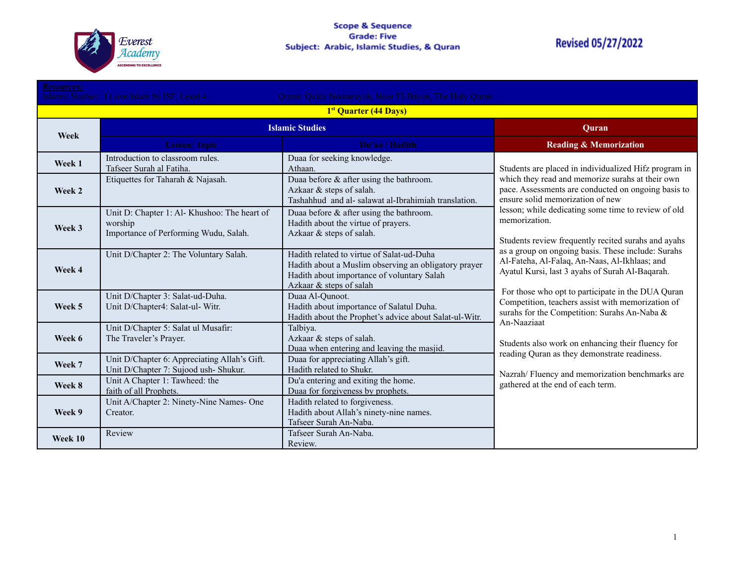

# **Revised 05/27/2022**

| <b>Resources:</b>                                                                                       |                                                                                                  |                                                                                                                                                                            |                                                                                                                                                                                                                                                                                                                                                                                                                                                                                                                                                                                                                                                                                                                                                                                                                                                                    |  |
|---------------------------------------------------------------------------------------------------------|--------------------------------------------------------------------------------------------------|----------------------------------------------------------------------------------------------------------------------------------------------------------------------------|--------------------------------------------------------------------------------------------------------------------------------------------------------------------------------------------------------------------------------------------------------------------------------------------------------------------------------------------------------------------------------------------------------------------------------------------------------------------------------------------------------------------------------------------------------------------------------------------------------------------------------------------------------------------------------------------------------------------------------------------------------------------------------------------------------------------------------------------------------------------|--|
| Islamic Studies: I Love Islam by ISF, Level 4<br>Quran: Qaida Nooraniyah, Noor El-Bayan, The Holy Quran |                                                                                                  |                                                                                                                                                                            |                                                                                                                                                                                                                                                                                                                                                                                                                                                                                                                                                                                                                                                                                                                                                                                                                                                                    |  |
|                                                                                                         |                                                                                                  | 1 <sup>st</sup> Quarter (44 Days)                                                                                                                                          |                                                                                                                                                                                                                                                                                                                                                                                                                                                                                                                                                                                                                                                                                                                                                                                                                                                                    |  |
|                                                                                                         |                                                                                                  | <b>Islamic Studies</b>                                                                                                                                                     |                                                                                                                                                                                                                                                                                                                                                                                                                                                                                                                                                                                                                                                                                                                                                                                                                                                                    |  |
| Week                                                                                                    | <b>Lesson/Topic</b>                                                                              | Du'aa / Hadith                                                                                                                                                             | <b>Reading &amp; Memorization</b>                                                                                                                                                                                                                                                                                                                                                                                                                                                                                                                                                                                                                                                                                                                                                                                                                                  |  |
| Week 1                                                                                                  | Introduction to classroom rules.<br>Tafseer Surah al Fatiha.                                     | Duaa for seeking knowledge.<br>Athaan.                                                                                                                                     | Students are placed in individualized Hifz program in<br>which they read and memorize surahs at their own<br>pace. Assessments are conducted on ongoing basis to<br>ensure solid memorization of new<br>lesson; while dedicating some time to review of old<br>memorization.<br>Students review frequently recited surahs and ayahs<br>as a group on ongoing basis. These include: Surahs<br>Al-Fateha, Al-Falaq, An-Naas, Al-Ikhlaas; and<br>Ayatul Kursi, last 3 ayahs of Surah Al-Baqarah.<br>For those who opt to participate in the DUA Quran<br>Competition, teachers assist with memorization of<br>surahs for the Competition: Surahs An-Naba &<br>An-Naaziaat<br>Students also work on enhancing their fluency for<br>reading Quran as they demonstrate readiness.<br>Nazrah/Fluency and memorization benchmarks are<br>gathered at the end of each term. |  |
| Week 2                                                                                                  | Etiquettes for Taharah & Najasah.                                                                | Duaa before $\&$ after using the bathroom.<br>Azkaar & steps of salah.<br>Tashahhud and al-salawat al-Ibrahimiah translation.                                              |                                                                                                                                                                                                                                                                                                                                                                                                                                                                                                                                                                                                                                                                                                                                                                                                                                                                    |  |
| Week 3                                                                                                  | Unit D: Chapter 1: Al- Khushoo: The heart of<br>worship<br>Importance of Performing Wudu, Salah. | Duaa before $\&$ after using the bathroom.<br>Hadith about the virtue of prayers.<br>Azkaar & steps of salah.                                                              |                                                                                                                                                                                                                                                                                                                                                                                                                                                                                                                                                                                                                                                                                                                                                                                                                                                                    |  |
| Week 4                                                                                                  | Unit D/Chapter 2: The Voluntary Salah.                                                           | Hadith related to virtue of Salat-ud-Duha<br>Hadith about a Muslim observing an obligatory prayer<br>Hadith about importance of voluntary Salah<br>Azkaar & steps of salah |                                                                                                                                                                                                                                                                                                                                                                                                                                                                                                                                                                                                                                                                                                                                                                                                                                                                    |  |
| Week 5                                                                                                  | Unit D/Chapter 3: Salat-ud-Duha.<br>Unit D/Chapter4: Salat-ul- Witr.                             | Duaa Al-Qunoot.<br>Hadith about importance of Salatul Duha.<br>Hadith about the Prophet's advice about Salat-ul-Witr.                                                      |                                                                                                                                                                                                                                                                                                                                                                                                                                                                                                                                                                                                                                                                                                                                                                                                                                                                    |  |
| Week 6                                                                                                  | Unit D/Chapter 5: Salat ul Musafir:<br>The Traveler's Prayer.                                    | Talbiya.<br>Azkaar & steps of salah.<br>Duaa when entering and leaving the masjid.                                                                                         |                                                                                                                                                                                                                                                                                                                                                                                                                                                                                                                                                                                                                                                                                                                                                                                                                                                                    |  |
| Week 7                                                                                                  | Unit D/Chapter 6: Appreciating Allah's Gift.<br>Unit D/Chapter 7: Sujood ush- Shukur.            | Duaa for appreciating Allah's gift.<br>Hadith related to Shukr.                                                                                                            |                                                                                                                                                                                                                                                                                                                                                                                                                                                                                                                                                                                                                                                                                                                                                                                                                                                                    |  |
| Week 8                                                                                                  | Unit A Chapter 1: Tawheed: the<br>faith of all Prophets.                                         | Du'a entering and exiting the home.<br>Duaa for forgiveness by prophets.                                                                                                   |                                                                                                                                                                                                                                                                                                                                                                                                                                                                                                                                                                                                                                                                                                                                                                                                                                                                    |  |
| Week 9                                                                                                  | Unit A/Chapter 2: Ninety-Nine Names- One<br>Creator.                                             | Hadith related to forgiveness.<br>Hadith about Allah's ninety-nine names.<br>Tafseer Surah An-Naba.                                                                        |                                                                                                                                                                                                                                                                                                                                                                                                                                                                                                                                                                                                                                                                                                                                                                                                                                                                    |  |
| Week 10                                                                                                 | Review                                                                                           | Tafseer Surah An-Naba.<br>Review.                                                                                                                                          |                                                                                                                                                                                                                                                                                                                                                                                                                                                                                                                                                                                                                                                                                                                                                                                                                                                                    |  |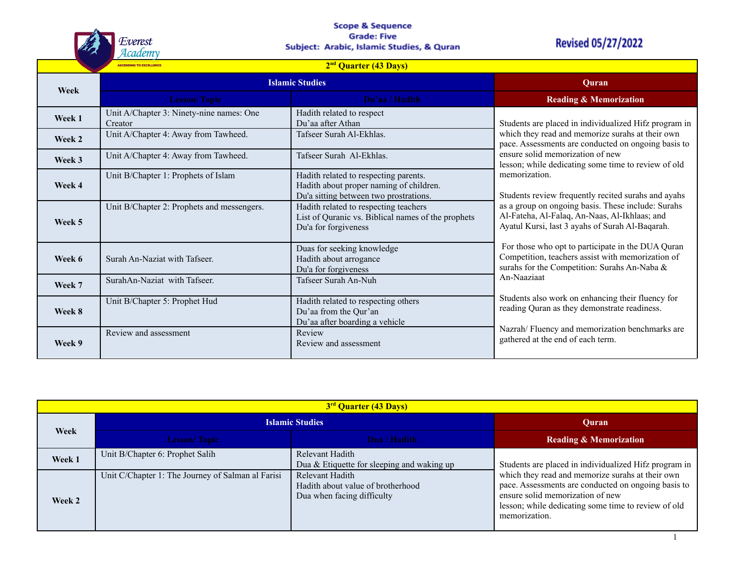

## **Scope & Sequence Grade: Five** Subject: Arabic, Islamic Studies, & Quran

# **Revised 05/27/2022**

 $\mathbf{1}$ 

|        | 2 <sup>nd</sup> Quarter (43 Days)<br><b>ASCENDING TO EXCELLENCE</b> |                                                                                                                            |                                                                                                                                                        |  |
|--------|---------------------------------------------------------------------|----------------------------------------------------------------------------------------------------------------------------|--------------------------------------------------------------------------------------------------------------------------------------------------------|--|
| Week   | <b>Islamic Studies</b>                                              |                                                                                                                            | Ouran                                                                                                                                                  |  |
|        | <b>Lesson/Topic</b>                                                 | Du'aa / Hadith                                                                                                             | <b>Reading &amp; Memorization</b>                                                                                                                      |  |
| Week 1 | Unit A/Chapter 3: Ninety-nine names: One<br>Creator                 | Hadith related to respect<br>Du'aa after Athan                                                                             | Students are placed in individualized Hifz program in                                                                                                  |  |
| Week 2 | Unit A/Chapter 4: Away from Tawheed.                                | Tafseer Surah Al-Ekhlas.                                                                                                   | which they read and memorize surahs at their own<br>pace. Assessments are conducted on ongoing basis to                                                |  |
| Week 3 | Unit A/Chapter 4: Away from Tawheed.                                | Tafseer Surah Al-Ekhlas.                                                                                                   | ensure solid memorization of new<br>lesson; while dedicating some time to review of old                                                                |  |
| Week 4 | Unit B/Chapter 1: Prophets of Islam                                 | Hadith related to respecting parents.<br>Hadith about proper naming of children.<br>Du'a sitting between two prostrations. | memorization.<br>Students review frequently recited surahs and ayahs                                                                                   |  |
| Week 5 | Unit B/Chapter 2: Prophets and messengers.                          | Hadith related to respecting teachers<br>List of Quranic vs. Biblical names of the prophets<br>Du'a for forgiveness        | as a group on ongoing basis. These include: Surahs<br>Al-Fateha, Al-Falaq, An-Naas, Al-Ikhlaas; and<br>Ayatul Kursi, last 3 ayahs of Surah Al-Baqarah. |  |
| Week 6 | Surah An-Naziat with Tafseer.                                       | Duas for seeking knowledge<br>Hadith about arrogance<br>Du'a for forgiveness                                               | For those who opt to participate in the DUA Quran<br>Competition, teachers assist with memorization of<br>surahs for the Competition: Surahs An-Naba & |  |
| Week 7 | SurahAn-Naziat with Tafseer.                                        | Tafseer Surah An-Nuh                                                                                                       | An-Naaziaat                                                                                                                                            |  |
| Week 8 | Unit B/Chapter 5: Prophet Hud                                       | Hadith related to respecting others<br>Du'aa from the Qur'an<br>Du'aa after boarding a vehicle                             | Students also work on enhancing their fluency for<br>reading Quran as they demonstrate readiness.                                                      |  |
| Week 9 | Review and assessment                                               | Review<br>Review and assessment                                                                                            | Nazrah/Fluency and memorization benchmarks are<br>gathered at the end of each term.                                                                    |  |

| 3 <sup>rd</sup> Quarter (43 Days) |                                                   |                                                                                    |                                                                                                                                                                                                                     |
|-----------------------------------|---------------------------------------------------|------------------------------------------------------------------------------------|---------------------------------------------------------------------------------------------------------------------------------------------------------------------------------------------------------------------|
| Week                              | <b>Islamic Studies</b>                            |                                                                                    | Ouran                                                                                                                                                                                                               |
|                                   | <b>Lesson/Topic</b>                               | Dua / Hadith                                                                       | <b>Reading &amp; Memorization</b>                                                                                                                                                                                   |
| Week 1                            | Unit B/Chapter 6: Prophet Salih                   | Relevant Hadith<br>Dua & Etiquette for sleeping and waking up                      | Students are placed in individualized Hifz program in                                                                                                                                                               |
| Week 2                            | Unit C/Chapter 1: The Journey of Salman al Farisi | Relevant Hadith<br>Hadith about value of brotherhood<br>Dua when facing difficulty | which they read and memorize surahs at their own<br>pace. Assessments are conducted on ongoing basis to<br>ensure solid memorization of new<br>lesson; while dedicating some time to review of old<br>memorization. |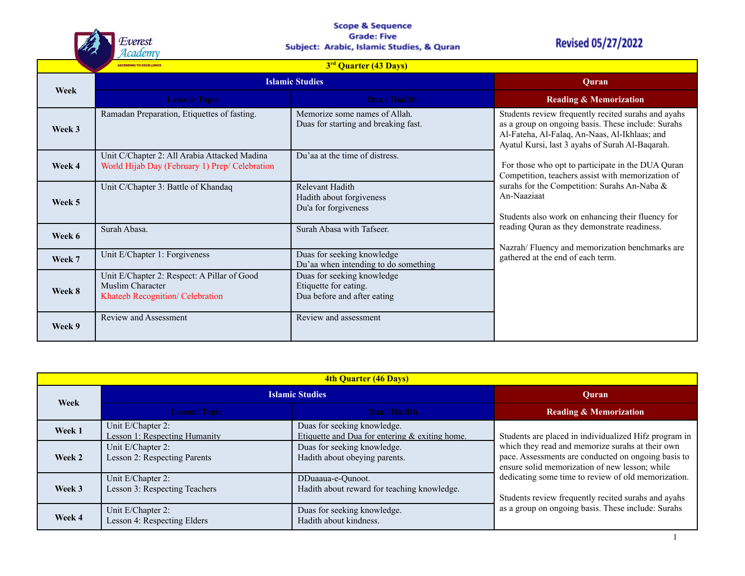

## **Scope & Sequence Grade: Five** Subject: Arabic, Islamic Studies, & Quran

# **Revised 05/27/2022**

|        | 3 <sup>rd</sup> Quarter (43 Days)<br><b>ASCENDING TO EXCELLENCE</b>                                 |                                                                                    |                                                                                                                                                                                                                                                                                                                                                                   |  |
|--------|-----------------------------------------------------------------------------------------------------|------------------------------------------------------------------------------------|-------------------------------------------------------------------------------------------------------------------------------------------------------------------------------------------------------------------------------------------------------------------------------------------------------------------------------------------------------------------|--|
| Week   | <b>Islamic Studies</b>                                                                              |                                                                                    | Quran                                                                                                                                                                                                                                                                                                                                                             |  |
|        | <b>Lesson/Topic</b>                                                                                 | Dua / Hadith                                                                       | <b>Reading &amp; Memorization</b>                                                                                                                                                                                                                                                                                                                                 |  |
| Week 3 | Ramadan Preparation, Etiquettes of fasting.                                                         | Memorize some names of Allah.<br>Duas for starting and breaking fast.              | Students review frequently recited surahs and ayahs<br>as a group on ongoing basis. These include: Surahs<br>Al-Fateha, Al-Falaq, An-Naas, Al-Ikhlaas; and<br>Ayatul Kursi, last 3 ayahs of Surah Al-Baqarah.                                                                                                                                                     |  |
| Week 4 | Unit C/Chapter 2: All Arabia Attacked Madina<br>World Hijab Day (February 1) Prep/ Celebration      | Du'aa at the time of distress.                                                     | For those who opt to participate in the DUA Quran<br>Competition, teachers assist with memorization of<br>surahs for the Competition: Surahs An-Naba &<br>An-Naaziaat<br>Students also work on enhancing their fluency for<br>reading Quran as they demonstrate readiness.<br>Nazrah/Fluency and memorization benchmarks are<br>gathered at the end of each term. |  |
| Week 5 | Unit C/Chapter 3: Battle of Khandaq                                                                 | Relevant Hadith<br>Hadith about forgiveness<br>Du'a for forgiveness                |                                                                                                                                                                                                                                                                                                                                                                   |  |
| Week 6 | Surah Abasa.                                                                                        | Surah Abasa with Tafseer.                                                          |                                                                                                                                                                                                                                                                                                                                                                   |  |
| Week 7 | Unit E/Chapter 1: Forgiveness                                                                       | Duas for seeking knowledge<br>Du'aa when intending to do something                 |                                                                                                                                                                                                                                                                                                                                                                   |  |
| Week 8 | Unit E/Chapter 2: Respect: A Pillar of Good<br>Muslim Character<br>Khateeb Recognition/ Celebration | Duas for seeking knowledge<br>Etiquette for eating.<br>Dua before and after eating |                                                                                                                                                                                                                                                                                                                                                                   |  |
| Week 9 | <b>Review and Assessment</b>                                                                        | Review and assessment                                                              |                                                                                                                                                                                                                                                                                                                                                                   |  |

| <b>4th Quarter (46 Days)</b> |                                                    |                                                                                 |                                                                                                                                                                  |
|------------------------------|----------------------------------------------------|---------------------------------------------------------------------------------|------------------------------------------------------------------------------------------------------------------------------------------------------------------|
| Week                         | <b>Islamic Studies</b>                             |                                                                                 | Ouran                                                                                                                                                            |
|                              | <b>Lesson/Topic</b>                                | Dua / Hadith                                                                    | <b>Reading &amp; Memorization</b>                                                                                                                                |
| Week 1                       | Unit E/Chapter 2:<br>Lesson 1: Respecting Humanity | Duas for seeking knowledge.<br>Etiquette and Dua for entering $&$ exiting home. | Students are placed in individualized Hifz program in                                                                                                            |
| Week 2                       | Unit E/Chapter 2:<br>Lesson 2: Respecting Parents  | Duas for seeking knowledge.<br>Hadith about obeying parents.                    | which they read and memorize surahs at their own<br>pace. Assessments are conducted on ongoing basis to<br>ensure solid memorization of new lesson; while        |
| Week 3                       | Unit E/Chapter 2:<br>Lesson 3: Respecting Teachers | DDuaaua-e-Qunoot.<br>Hadith about reward for teaching knowledge.                | dedicating some time to review of old memorization.<br>Students review frequently recited surahs and ayahs<br>as a group on ongoing basis. These include: Surahs |
| Week 4                       | Unit E/Chapter 2:<br>Lesson 4: Respecting Elders   | Duas for seeking knowledge.<br>Hadith about kindness.                           |                                                                                                                                                                  |